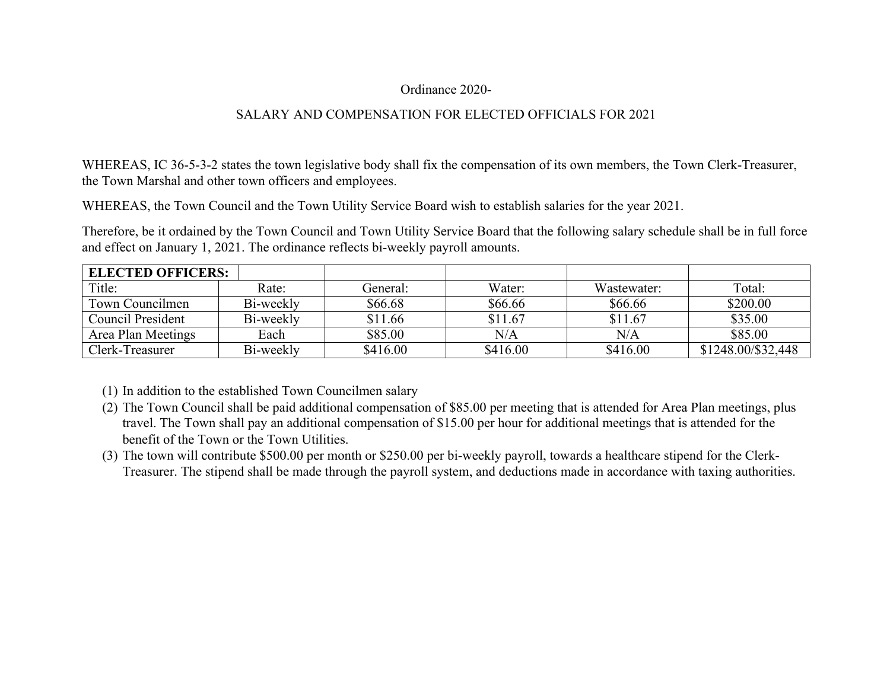## Ordinance 2020-

## SALARY AND COMPENSATION FOR ELECTED OFFICIALS FOR 2021

WHEREAS, IC 36-5-3-2 states the town legislative body shall fix the compensation of its own members, the Town Clerk-Treasurer, the Town Marshal and other town officers and employees.

WHEREAS, the Town Council and the Town Utility Service Board wish to establish salaries for the year 2021.

Therefore, be it ordained by the Town Council and Town Utility Service Board that the following salary schedule shall be in full force and effect on January 1, 2021. The ordinance reflects bi-weekly payroll amounts.

| <b>ELECTED OFFICERS:</b> |           |          |           |             |                    |
|--------------------------|-----------|----------|-----------|-------------|--------------------|
| Title:                   | Rate:     | General: | Water:    | Wastewater: | Total:             |
| Town Councilmen          | Bi-weekly | \$66.68  | \$66.66   | \$66.66     | \$200.00           |
| Council President        | Bi-weekly | \$11.66  | \$11.67   | \$11.67     | \$35.00            |
| Area Plan Meetings       | Each      | \$85.00  | $\rm N/A$ | N/A         | \$85.00            |
| Clerk-Treasurer          | Bi-weekly | \$416.00 | \$416.00  | \$416.00    | \$1248.00/\$32,448 |

(1) In addition to the established Town Councilmen salary

- (2) The Town Council shall be paid additional compensation of \$85.00 per meeting that is attended for Area Plan meetings, plus travel. The Town shall pay an additional compensation of \$15.00 per hour for additional meetings that is attended for the benefit of the Town or the Town Utilities.
- (3) The town will contribute \$500.00 per month or \$250.00 per bi-weekly payroll, towards a healthcare stipend for the Clerk-Treasurer. The stipend shall be made through the payroll system, and deductions made in accordance with taxing authorities.